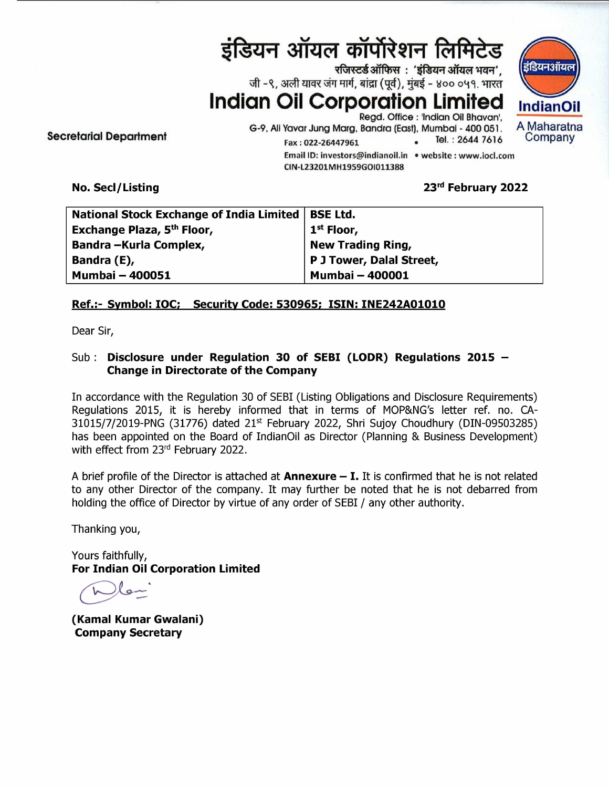# इंडियन ऑयल कॉर्पोरेशन लिमिटेड







G-9, Ali Yavar Jung Marg, Bandra (East), Mumbai - 400 051. A Maharatna Secretarial Department Fax: 022-26447961 Email ID: investors@indianoil.in • website : www.iocl.com CIN-L23201MH1959G01011388 

### No. Secl/Listing 2022

| इंडियन ऑयल कॉर्पोरेशन लिमिटेड<br>इंडि<br>रजिस्टर्ड ऑफिस: 'इंडियन ऑयल भवन',<br>जी -९, अली यावर जंग मार्ग, बांद्रा (पूर्व), मुंबई - ४०० ०५१. भारत |                                                                                                                                                                                                                                                                                                   |
|-------------------------------------------------------------------------------------------------------------------------------------------------|---------------------------------------------------------------------------------------------------------------------------------------------------------------------------------------------------------------------------------------------------------------------------------------------------|
| retarial Department                                                                                                                             | <b>Indian Oil Corporation Limited</b><br>Ind<br>Regd. Office : 'Indian Oil Bhavan',<br>A Ma<br>G-9, Ali Yavar Jung Marg, Bandra (East), Mumbai - 400 051.<br>Co<br>Tel.: 2644 7616<br>Fax: 022-26447961<br>Email ID: investors@indianoil.in . website : www.iocl.com<br>CIN-L23201MH1959GOI011388 |
| No. Secl/Listing                                                                                                                                | 23rd February 2022                                                                                                                                                                                                                                                                                |
| <b>National Stock Exchange of India Limited</b><br>Exchange Plaza, 5 <sup>th</sup> Floor,<br>Bandra - Kurla Complex,                            | <b>BSE Ltd.</b><br>$1st$ Floor,<br><b>New Trading Ring,</b>                                                                                                                                                                                                                                       |
| Bandra (E),<br><b>Mumbai - 400051</b>                                                                                                           | P J Tower, Dalal Street,<br><b>Mumbai - 400001</b>                                                                                                                                                                                                                                                |

## Ref.:- Symbol: IOC: Security Code: 530965: ISIN: INE242A01010

Dear Sir,

## Sub: Disclosure under Regulation 30 of SEBI (LODR) Regulations 2015 — Change in Directorate of the Company

31015/7/2019-PNG (31776) dated 21<sup>5</sup><br>has been appointed on the Board of 1<br>has been appointed on the Board of 1<br>with effect from 23<sup>rd</sup> February 2022.<br>A brief profile of the Director is attache<br>to any other Director of the In accordance with the Regulation 30 of SEBI (Listing Obligations and Disclosure Requirements) Regulations 2015, it is hereby informed that in terms of MOP&NG's letter ref. no. CA-31015/7/2019-PNG (31776) dated 21% February 2022, Shri Sujoy Choudhury (DIN-09503285) has been appointed on the Board of IndianOil as Director (Planning & Business Development) with effect from  $23<sup>rd</sup>$  February 2022.

A brief profile of the Director is attached at **Annexure**  $-$  **I.** It is confirmed that he is not related to any other Director of the company. It may further be noted that he is not debarred from holding the office of Director by virtue of any order of SEBI / any other authority.

Thanking you,

Yours faithfully, For Indian Oil Corporation Limited b=

(Kamal Kumar Gwalani) Company Secretary